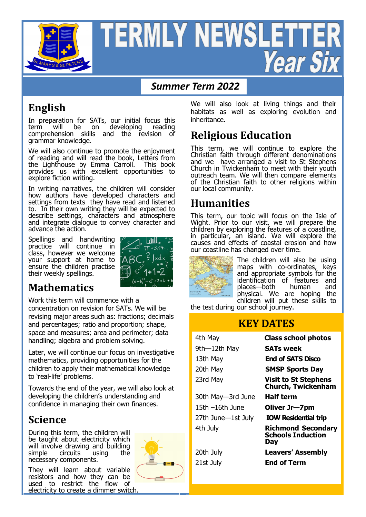

# **TERMLY NEWSLET Year Six**

## *Summer Term 2022*

# **English**

In preparation for SATs, our initial focus this term will be on developing comprehension skills and the revision of grammar knowledge.

We will also continue to promote the enjoyment of reading and will read the book, Letters from the Lighthouse by Emma Carroll. This book provides us with excellent opportunities to explore fiction writing.

In writing narratives, the children will consider how authors have developed characters and settings from texts they have read and listened to. In their own writing they will be expected to describe settings, characters and atmosphere and integrate dialogue to convey character and advance the action.

Spellings and handwriting practice will continue in class, however we welcome your support at home to ensure the children practise their weekly spellings.



## **Mathematics**

Work this term will commence with a

concentration on revision for SATs. We will be revising major areas such as: fractions; decimals and percentages; ratio and proportion; shape, space and measures; area and perimeter; data handling; algebra and problem solving.

Later, we will continue our focus on investigative mathematics, providing opportunities for the children to apply their mathematical knowledge to 'real-life' problems.

Towards the end of the year, we will also look at developing the children's understanding and confidence in managing their own finances.

## **Science**

During this term, the children will be taught about electricity which will involve drawing and building simple circuits using the necessary components.



They will learn about variable resistors and how they can be used to restrict the flow of electricity to create a dimmer switch.

We will also look at living things and their habitats as well as exploring evolution and inheritance.

# **Religious Education**

This term, we will continue to explore the Christian faith through different denominations and we have arranged a visit to St Stephens Church in Twickenham to meet with their youth outreach team. We will then compare elements of the Christian faith to other religions within our local community.

## **Humanities**

This term, our topic will focus on the Isle of Wight. Prior to our visit, we will prepare the children by exploring the features of a coastline, in particular, an island. We will explore the causes and effects of coastal erosion and how our coastline has changed over time.



The children will also be using maps with co-ordinates, keys and appropriate symbols for the identification of features and places—both human and physical. We are hoping the children will put these skills to

the test during our school journey.

## **KEY DATES**

| 4th May            | <b>Class school photos</b>                                   |
|--------------------|--------------------------------------------------------------|
| 9th-12th May       | <b>SATs week</b>                                             |
| 13th May           | <b>End of SATS Disco</b>                                     |
| 20th May           | <b>SMSP Sports Day</b>                                       |
| 23rd May           | <b>Visit to St Stephens</b><br><b>Church, Twickenham</b>     |
| 30th May—3rd June  | <b>Half term</b>                                             |
| $15th - 16th$ June | Oliver Jr-7pm                                                |
| 27th June-1st July | <b>IOW Residential trip</b>                                  |
| 4th July           | <b>Richmond Secondary</b><br><b>Schools Induction</b><br>Day |
| 20th July          | <b>Leavers' Assembly</b>                                     |
| 21st July          | <b>End of Term</b>                                           |
|                    |                                                              |